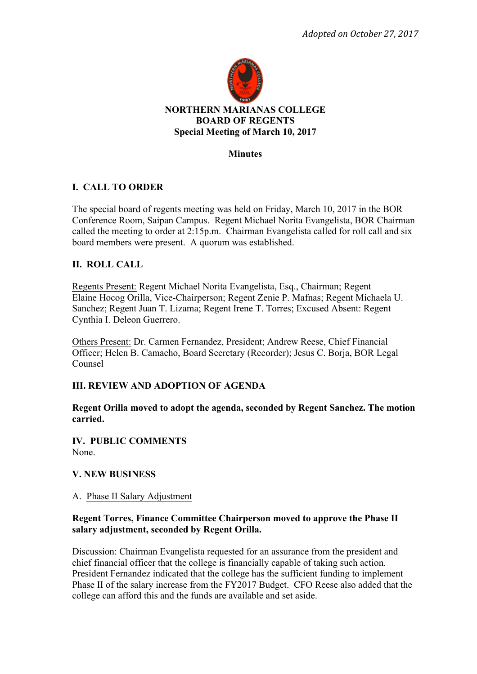

# **Minutes**

# **I. CALL TO ORDER**

The special board of regents meeting was held on Friday, March 10, 2017 in the BOR Conference Room, Saipan Campus. Regent Michael Norita Evangelista, BOR Chairman called the meeting to order at 2:15p.m. Chairman Evangelista called for roll call and six board members were present. A quorum was established.

# **II. ROLL CALL**

Regents Present: Regent Michael Norita Evangelista, Esq., Chairman; Regent Elaine Hocog Orilla, Vice-Chairperson; Regent Zenie P. Mafnas; Regent Michaela U. Sanchez; Regent Juan T. Lizama; Regent Irene T. Torres; Excused Absent: Regent Cynthia I. Deleon Guerrero.

Others Present: Dr. Carmen Fernandez, President; Andrew Reese, Chief Financial Officer; Helen B. Camacho, Board Secretary (Recorder); Jesus C. Borja, BOR Legal Counsel

# **III. REVIEW AND ADOPTION OF AGENDA**

**Regent Orilla moved to adopt the agenda, seconded by Regent Sanchez. The motion carried.** 

**IV. PUBLIC COMMENTS**  None.

# **V. NEW BUSINESS**

# A. Phase II Salary Adjustment

# **Regent Torres, Finance Committee Chairperson moved to approve the Phase II salary adjustment, seconded by Regent Orilla.**

Discussion: Chairman Evangelista requested for an assurance from the president and chief financial officer that the college is financially capable of taking such action. President Fernandez indicated that the college has the sufficient funding to implement Phase II of the salary increase from the FY2017 Budget. CFO Reese also added that the college can afford this and the funds are available and set aside.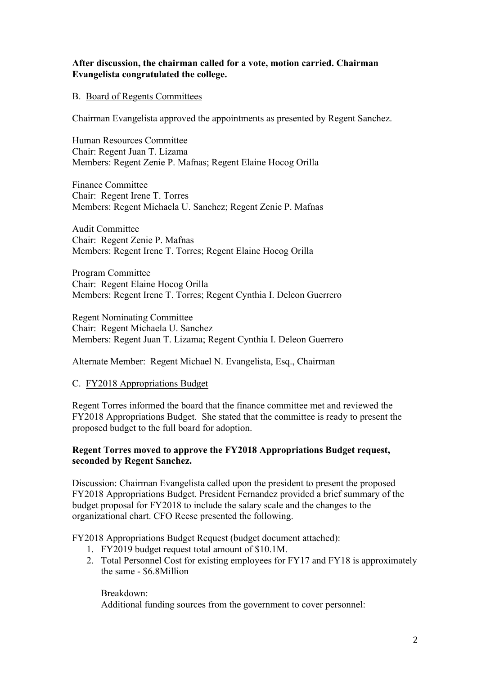#### **After discussion, the chairman called for a vote, motion carried. Chairman Evangelista congratulated the college.**

#### B. Board of Regents Committees

Chairman Evangelista approved the appointments as presented by Regent Sanchez.

Human Resources Committee Chair: Regent Juan T. Lizama Members: Regent Zenie P. Mafnas; Regent Elaine Hocog Orilla

Finance Committee Chair: Regent Irene T. Torres Members: Regent Michaela U. Sanchez; Regent Zenie P. Mafnas

Audit Committee Chair: Regent Zenie P. Mafnas Members: Regent Irene T. Torres; Regent Elaine Hocog Orilla

Program Committee Chair: Regent Elaine Hocog Orilla Members: Regent Irene T. Torres; Regent Cynthia I. Deleon Guerrero

Regent Nominating Committee Chair: Regent Michaela U. Sanchez Members: Regent Juan T. Lizama; Regent Cynthia I. Deleon Guerrero

Alternate Member: Regent Michael N. Evangelista, Esq., Chairman

#### C. FY2018 Appropriations Budget

Regent Torres informed the board that the finance committee met and reviewed the FY2018 Appropriations Budget. She stated that the committee is ready to present the proposed budget to the full board for adoption.

#### **Regent Torres moved to approve the FY2018 Appropriations Budget request, seconded by Regent Sanchez.**

Discussion: Chairman Evangelista called upon the president to present the proposed FY2018 Appropriations Budget. President Fernandez provided a brief summary of the budget proposal for FY2018 to include the salary scale and the changes to the organizational chart. CFO Reese presented the following.

FY2018 Appropriations Budget Request (budget document attached):

- 1. FY2019 budget request total amount of \$10.1M.
- 2. Total Personnel Cost for existing employees for FY17 and FY18 is approximately the same - \$6.8Million

Breakdown: Additional funding sources from the government to cover personnel: